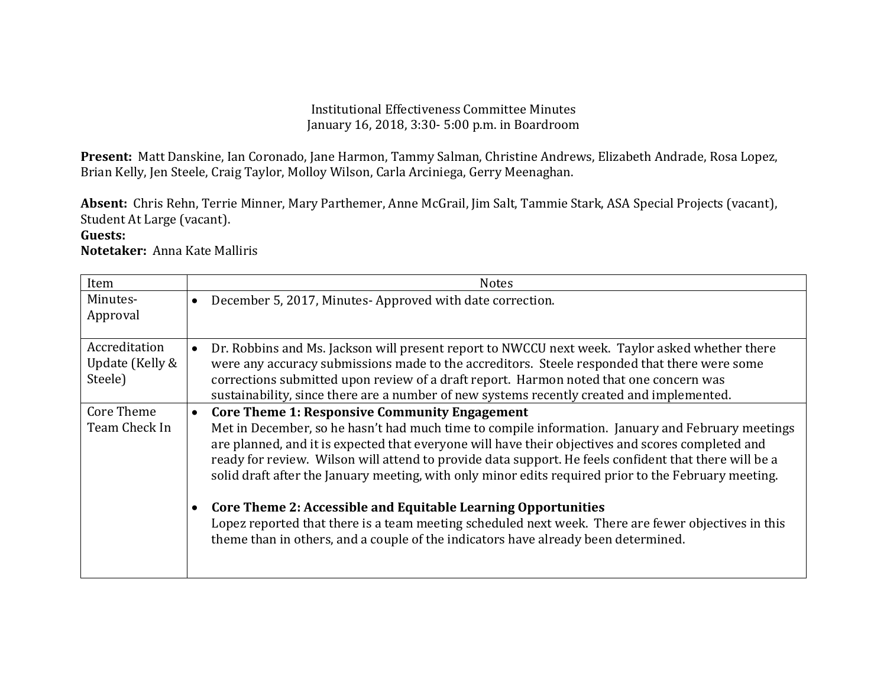## Institutional Effectiveness Committee Minutes January 16, 2018, 3:30- 5:00 p.m. in Boardroom

**Present:** Matt Danskine, Ian Coronado, Jane Harmon, Tammy Salman, Christine Andrews, Elizabeth Andrade, Rosa Lopez, Brian Kelly, Jen Steele, Craig Taylor, Molloy Wilson, Carla Arciniega, Gerry Meenaghan.

**Absent:** Chris Rehn, Terrie Minner, Mary Parthemer, Anne McGrail, Jim Salt, Tammie Stark, ASA Special Projects (vacant), Student At Large (vacant).

## **Guests:**

**Notetaker:** Anna Kate Malliris

| Item                                        | <b>Notes</b>                                                                                                                                                                                                                                                                                                                                                                                                                                                                                                                                                                                                                                                                             |
|---------------------------------------------|------------------------------------------------------------------------------------------------------------------------------------------------------------------------------------------------------------------------------------------------------------------------------------------------------------------------------------------------------------------------------------------------------------------------------------------------------------------------------------------------------------------------------------------------------------------------------------------------------------------------------------------------------------------------------------------|
| Minutes-<br>Approval                        | December 5, 2017, Minutes-Approved with date correction.<br>$\bullet$                                                                                                                                                                                                                                                                                                                                                                                                                                                                                                                                                                                                                    |
| Accreditation<br>Update (Kelly &<br>Steele) | Dr. Robbins and Ms. Jackson will present report to NWCCU next week. Taylor asked whether there<br>were any accuracy submissions made to the accreditors. Steele responded that there were some<br>corrections submitted upon review of a draft report. Harmon noted that one concern was<br>sustainability, since there are a number of new systems recently created and implemented.                                                                                                                                                                                                                                                                                                    |
| Core Theme<br>Team Check In                 | <b>Core Theme 1: Responsive Community Engagement</b><br>$\bullet$<br>Met in December, so he hasn't had much time to compile information. January and February meetings<br>are planned, and it is expected that everyone will have their objectives and scores completed and<br>ready for review. Wilson will attend to provide data support. He feels confident that there will be a<br>solid draft after the January meeting, with only minor edits required prior to the February meeting.<br><b>Core Theme 2: Accessible and Equitable Learning Opportunities</b><br>$\bullet$<br>Lopez reported that there is a team meeting scheduled next week. There are fewer objectives in this |
|                                             | theme than in others, and a couple of the indicators have already been determined.                                                                                                                                                                                                                                                                                                                                                                                                                                                                                                                                                                                                       |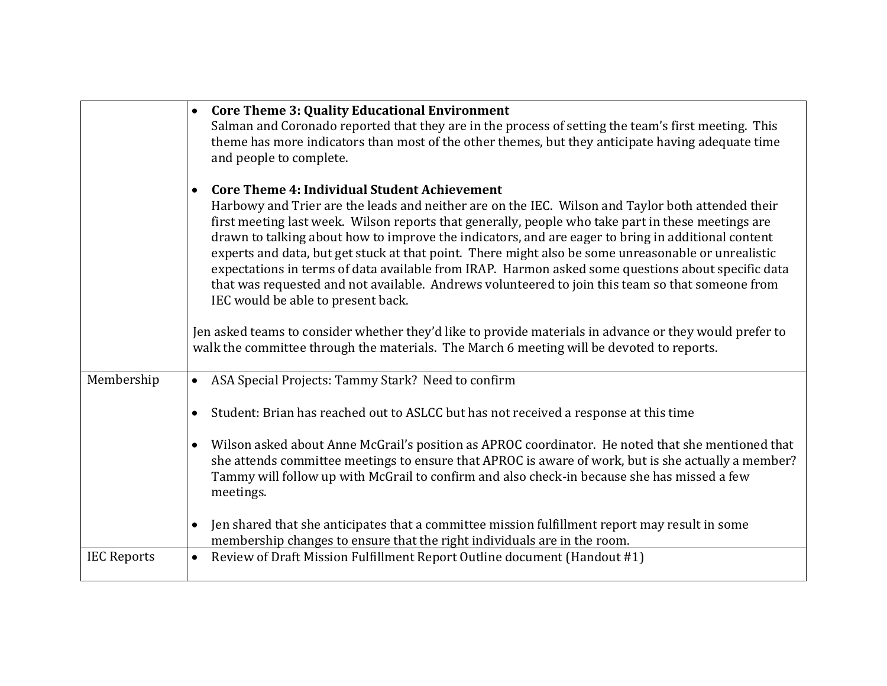|                    | <b>Core Theme 3: Quality Educational Environment</b><br>$\bullet$<br>Salman and Coronado reported that they are in the process of setting the team's first meeting. This<br>theme has more indicators than most of the other themes, but they anticipate having adequate time<br>and people to complete.                                                                                                                                                                                                                                                                                                                                                                                                                                 |
|--------------------|------------------------------------------------------------------------------------------------------------------------------------------------------------------------------------------------------------------------------------------------------------------------------------------------------------------------------------------------------------------------------------------------------------------------------------------------------------------------------------------------------------------------------------------------------------------------------------------------------------------------------------------------------------------------------------------------------------------------------------------|
|                    | <b>Core Theme 4: Individual Student Achievement</b><br>$\bullet$<br>Harbowy and Trier are the leads and neither are on the IEC. Wilson and Taylor both attended their<br>first meeting last week. Wilson reports that generally, people who take part in these meetings are<br>drawn to talking about how to improve the indicators, and are eager to bring in additional content<br>experts and data, but get stuck at that point. There might also be some unreasonable or unrealistic<br>expectations in terms of data available from IRAP. Harmon asked some questions about specific data<br>that was requested and not available. Andrews volunteered to join this team so that someone from<br>IEC would be able to present back. |
|                    | Jen asked teams to consider whether they'd like to provide materials in advance or they would prefer to<br>walk the committee through the materials. The March 6 meeting will be devoted to reports.                                                                                                                                                                                                                                                                                                                                                                                                                                                                                                                                     |
| Membership         | ASA Special Projects: Tammy Stark? Need to confirm<br>$\bullet$                                                                                                                                                                                                                                                                                                                                                                                                                                                                                                                                                                                                                                                                          |
|                    | Student: Brian has reached out to ASLCC but has not received a response at this time<br>$\bullet$                                                                                                                                                                                                                                                                                                                                                                                                                                                                                                                                                                                                                                        |
|                    | Wilson asked about Anne McGrail's position as APROC coordinator. He noted that she mentioned that<br>$\bullet$<br>she attends committee meetings to ensure that APROC is aware of work, but is she actually a member?<br>Tammy will follow up with McGrail to confirm and also check-in because she has missed a few<br>meetings.                                                                                                                                                                                                                                                                                                                                                                                                        |
|                    | Jen shared that she anticipates that a committee mission fulfillment report may result in some<br>$\bullet$<br>membership changes to ensure that the right individuals are in the room.                                                                                                                                                                                                                                                                                                                                                                                                                                                                                                                                                  |
| <b>IEC Reports</b> | Review of Draft Mission Fulfillment Report Outline document (Handout #1)<br>$\bullet$                                                                                                                                                                                                                                                                                                                                                                                                                                                                                                                                                                                                                                                    |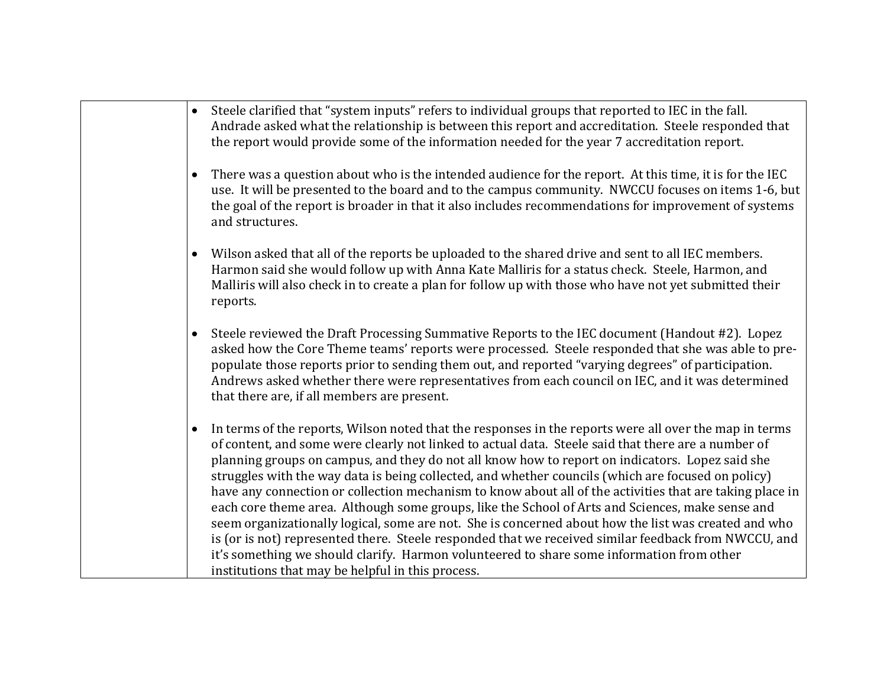- Steele clarified that "system inputs" refers to individual groups that reported to IEC in the fall. Andrade asked what the relationship is between this report and accreditation. Steele responded that the report would provide some of the information needed for the year 7 accreditation report.
- There was a question about who is the intended audience for the report. At this time, it is for the IEC use. It will be presented to the board and to the campus community. NWCCU focuses on items 1-6, but the goal of the report is broader in that it also includes recommendations for improvement of systems and structures.
- Wilson asked that all of the reports be uploaded to the shared drive and sent to all IEC members. Harmon said she would follow up with Anna Kate Malliris for a status check. Steele, Harmon, and Malliris will also check in to create a plan for follow up with those who have not yet submitted their reports.
- Steele reviewed the Draft Processing Summative Reports to the IEC document (Handout #2). Lopez asked how the Core Theme teams' reports were processed. Steele responded that she was able to prepopulate those reports prior to sending them out, and reported "varying degrees" of participation. Andrews asked whether there were representatives from each council on IEC, and it was determined that there are, if all members are present.
- In terms of the reports, Wilson noted that the responses in the reports were all over the map in terms of content, and some were clearly not linked to actual data. Steele said that there are a number of planning groups on campus, and they do not all know how to report on indicators. Lopez said she struggles with the way data is being collected, and whether councils (which are focused on policy) have any connection or collection mechanism to know about all of the activities that are taking place in each core theme area. Although some groups, like the School of Arts and Sciences, make sense and seem organizationally logical, some are not. She is concerned about how the list was created and who is (or is not) represented there. Steele responded that we received similar feedback from NWCCU, and it's something we should clarify. Harmon volunteered to share some information from other institutions that may be helpful in this process.